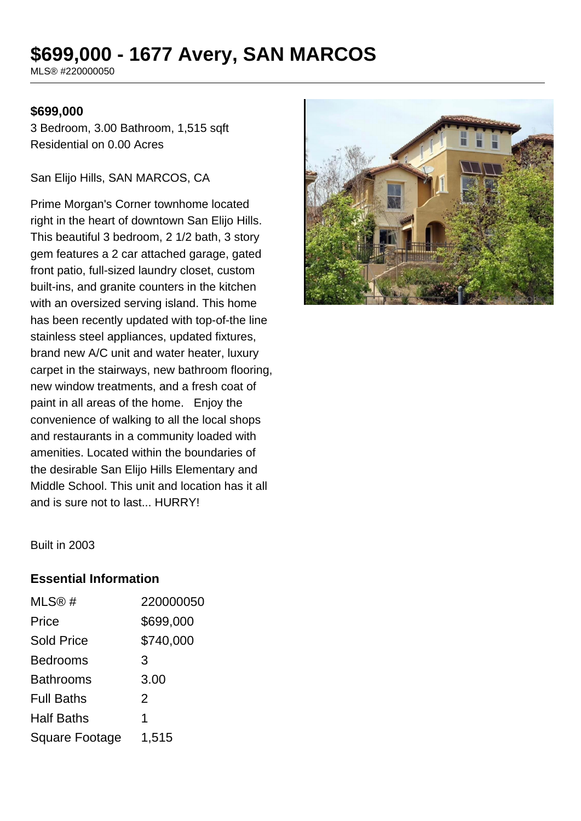# **\$699,000 - 1677 Avery, SAN MARCOS**

MLS® #220000050

#### **\$699,000**

3 Bedroom, 3.00 Bathroom, 1,515 sqft Residential on 0.00 Acres

San Elijo Hills, SAN MARCOS, CA

Prime Morgan's Corner townhome located right in the heart of downtown San Elijo Hills. This beautiful 3 bedroom, 2 1/2 bath, 3 story gem features a 2 car attached garage, gated front patio, full-sized laundry closet, custom built-ins, and granite counters in the kitchen with an oversized serving island. This home has been recently updated with top-of-the line stainless steel appliances, updated fixtures, brand new A/C unit and water heater, luxury carpet in the stairways, new bathroom flooring, new window treatments, and a fresh coat of paint in all areas of the home. Enjoy the convenience of walking to all the local shops and restaurants in a community loaded with amenities. Located within the boundaries of the desirable San Elijo Hills Elementary and Middle School. This unit and location has it all and is sure not to last... HURRY!



Built in 2003

#### **Essential Information**

| MLS®#                 | 220000050 |
|-----------------------|-----------|
| Price                 | \$699,000 |
| <b>Sold Price</b>     | \$740,000 |
| <b>Bedrooms</b>       | 3         |
| <b>Bathrooms</b>      | 3.00      |
| <b>Full Baths</b>     | 2         |
| <b>Half Baths</b>     | 1         |
| <b>Square Footage</b> | 1,515     |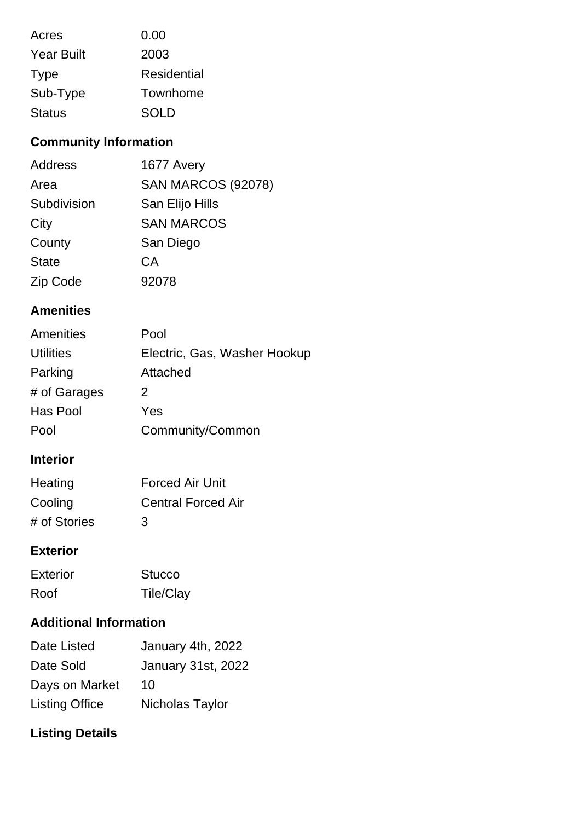| Acres             | 0.00               |
|-------------------|--------------------|
| <b>Year Built</b> | 2003               |
| <b>Type</b>       | <b>Residential</b> |
| Sub-Type          | Townhome           |
| <b>Status</b>     | <b>SOLD</b>        |

# **Community Information**

| Address      | 1677 Avery                |
|--------------|---------------------------|
| Area         | <b>SAN MARCOS (92078)</b> |
| Subdivision  | San Elijo Hills           |
| City         | <b>SAN MARCOS</b>         |
| County       | San Diego                 |
| <b>State</b> | СA                        |
| Zip Code     | 92078                     |

### **Amenities**

| Pool                         |
|------------------------------|
| Electric, Gas, Washer Hookup |
| Attached                     |
| 2                            |
| Yes                          |
| Community/Common             |
|                              |

### **Interior**

| Heating      | <b>Forced Air Unit</b>    |
|--------------|---------------------------|
| Cooling      | <b>Central Forced Air</b> |
| # of Stories | 3                         |

#### **Exterior**

| Exterior | <b>Stucco</b>    |
|----------|------------------|
| Roof     | <b>Tile/Clay</b> |

### **Additional Information**

| Date Listed           | January 4th, 2022         |
|-----------------------|---------------------------|
| Date Sold             | <b>January 31st, 2022</b> |
| Days on Market        | 10                        |
| <b>Listing Office</b> | Nicholas Taylor           |

# **Listing Details**